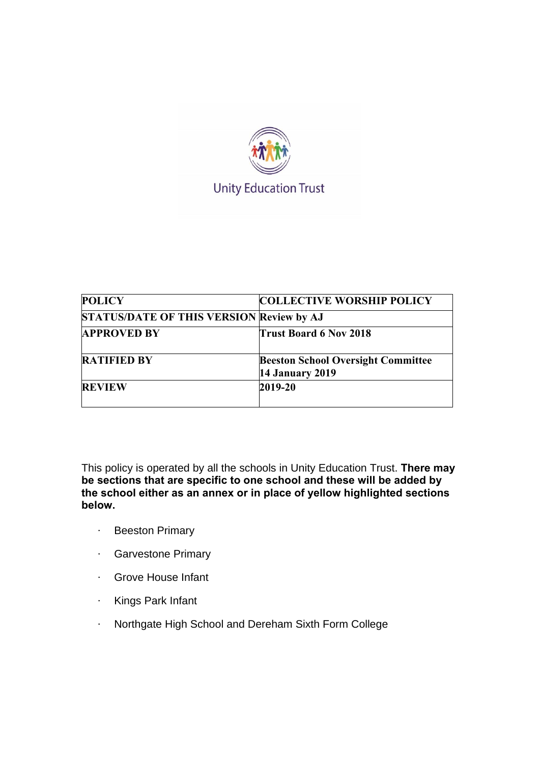

| <b>POLICY</b>                            | <b>COLLECTIVE WORSHIP POLICY</b>                                    |
|------------------------------------------|---------------------------------------------------------------------|
| STATUS/DATE OF THIS VERSION Review by AJ |                                                                     |
| <b>APPROVED BY</b>                       | <b>Trust Board 6 Nov 2018</b>                                       |
| <b>RATIFIED BY</b>                       | <b>Beeston School Oversight Committee</b><br><b>14 January 2019</b> |
| <b>REVIEW</b>                            | 2019-20                                                             |

This policy is operated by all the schools in Unity Education Trust. **There may be sections that are specific to one school and these will be added by the school either as an annex or in place of yellow highlighted sections below.**

- · Beeston Primary
- · Garvestone Primary
- · Grove House Infant
- · Kings Park Infant
- · Northgate High School and Dereham Sixth Form College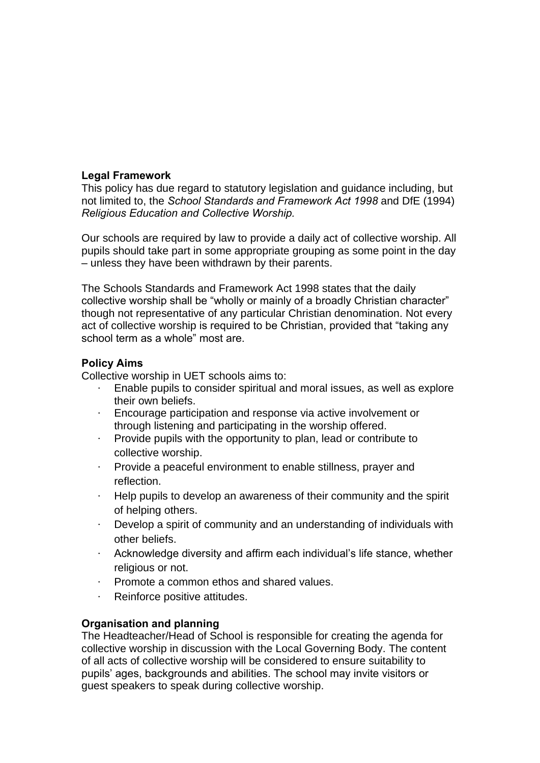## **Legal Framework**

This policy has due regard to statutory legislation and guidance including, but not limited to, the *School Standards and Framework Act 1998* and DfE (1994) *Religious Education and Collective Worship.*

Our schools are required by law to provide a daily act of collective worship. All pupils should take part in some appropriate grouping as some point in the day – unless they have been withdrawn by their parents.

The Schools Standards and Framework Act 1998 states that the daily collective worship shall be "wholly or mainly of a broadly Christian character" though not representative of any particular Christian denomination. Not every act of collective worship is required to be Christian, provided that "taking any school term as a whole" most are.

## **Policy Aims**

Collective worship in UET schools aims to:

- Enable pupils to consider spiritual and moral issues, as well as explore their own beliefs.
- · Encourage participation and response via active involvement or through listening and participating in the worship offered.
- · Provide pupils with the opportunity to plan, lead or contribute to collective worship.
- Provide a peaceful environment to enable stillness, prayer and reflection.
- · Help pupils to develop an awareness of their community and the spirit of helping others.
- · Develop a spirit of community and an understanding of individuals with other beliefs.
- · Acknowledge diversity and affirm each individual's life stance, whether religious or not.
- · Promote a common ethos and shared values.
- · Reinforce positive attitudes.

## **Organisation and planning**

The Headteacher/Head of School is responsible for creating the agenda for collective worship in discussion with the Local Governing Body. The content of all acts of collective worship will be considered to ensure suitability to pupils' ages, backgrounds and abilities. The school may invite visitors or guest speakers to speak during collective worship.